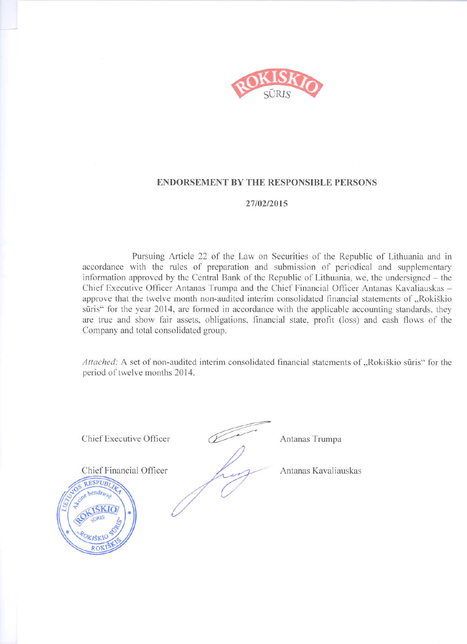

### **ENDORSEMENT BY THE RESPONSIBLE PERSONS**

### 27/02/2015

Pursuing Article 22 of the Law on Securities of the Republic of Lithuania and in accordance with the rules of preparation and submission of periodical and supplementary information approved by the Central Bank of the Republic of Lithuania, we, the undersigned – the Chief Executive Officer Antanas Trumpa and the Chief Financial Officer Antanas Kavaliauskas approve that the twelve month non-audited interim consolidated financial statements of "Rokiškio sūris" for the year 2014, are formed in accordance with the applicable accounting standards, they are true and show fair assets, obligations, financial state, profit (loss) and cash flows of the Company and total consolidated group.

Attached: A set of non-audited interim consolidated financial statements of "Rokiškio sūris" for the period of twelve months 2014.



Antanas Trumpa

Antanas Kavaliauskas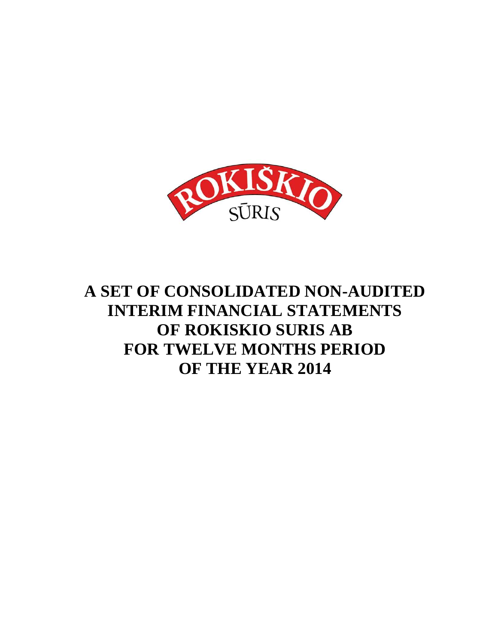

# **A SET OF CONSOLIDATED NON-AUDITED INTERIM FINANCIAL STATEMENTS OF ROKISKIO SURIS AB FOR TWELVE MONTHS PERIOD OF THE YEAR 2014**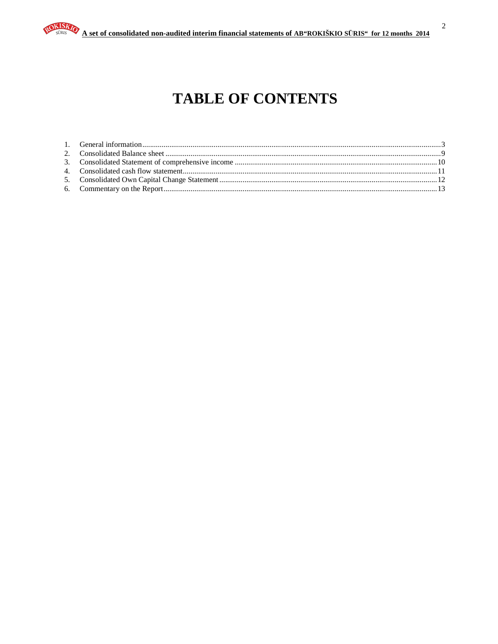# **TABLE OF CONTENTS**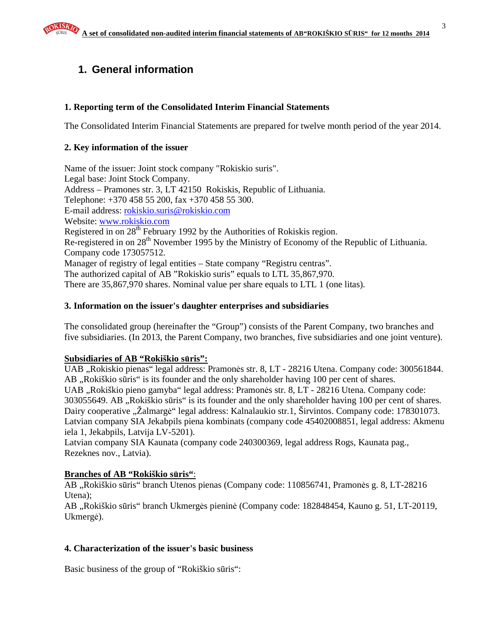# **1. General information**

### **1. Reporting term of the Consolidated Interim Financial Statements**

The Consolidated Interim Financial Statements are prepared for twelve month period of the year 2014.

### **2. Key information of the issuer**

Name of the issuer: Joint stock company "Rokiskio suris". Legal base: Joint Stock Company. Address – Pramones str. 3, LT 42150 Rokiskis, Republic of Lithuania. Telephone: +370 458 55 200, fax +370 458 55 300. E-mail address: rokiskio.suris@rokiskio.com Website: www.rokiskio.com Registered in on  $28<sup>th</sup>$  February 1992 by the Authorities of Rokiskis region. Re-registered in on 28<sup>th</sup> November 1995 by the Ministry of Economy of the Republic of Lithuania. Company code 173057512. Manager of registry of legal entities – State company "Registru centras". The authorized capital of AB "Rokiskio suris" equals to LTL 35,867,970. There are 35,867,970 shares. Nominal value per share equals to LTL 1 (one litas).

### **3. Information on the issuer's daughter enterprises and subsidiaries**

The consolidated group (hereinafter the "Group") consists of the Parent Company, two branches and five subsidiaries. (In 2013, the Parent Company, two branches, five subsidiaries and one joint venture).

### **Subsidiaries of AB "Rokiškio s**ū**ris":**

UAB "Rokiskio pienas" legal address: Pramonės str. 8, LT - 28216 Utena. Company code: 300561844. AB, Rokiškio sūris" is its founder and the only shareholder having 100 per cent of shares. UAB "Rokiškio pieno gamyba" legal address: Pramonės str. 8, LT - 28216 Utena. Company code: 303055649. AB "Rokiškio sūris" is its founder and the only shareholder having 100 per cent of shares. Dairy cooperative "Žalmargė" legal address: Kalnalaukio str.1, Širvintos. Company code: 178301073. Latvian company SIA Jekabpils piena kombinats (company code 45402008851, legal address: Akmenu iela 1, Jekabpils, Latvija LV-5201).

Latvian company SIA Kaunata (company code 240300369, legal address Rogs, Kaunata pag., Rezeknes nov., Latvia).

### **Branches of AB "Rokiškio s**ū**ris"**:

AB "Rokiškio sūris" branch Utenos pienas (Company code: 110856741, Pramonės g. 8, LT-28216 Utena);

AB "Rokiškio sūris" branch Ukmergės pieninė (Company code: 182848454, Kauno g. 51, LT-20119, Ukmergė).

### **4. Characterization of the issuer's basic business**

Basic business of the group of "Rokiškio sūris":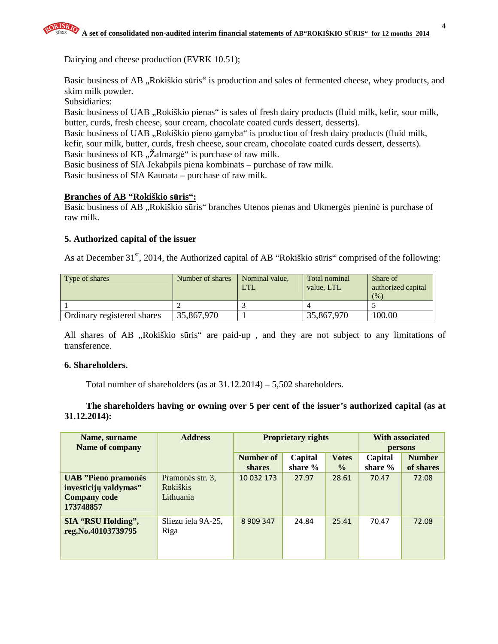Dairying and cheese production (EVRK 10.51);

Basic business of AB "Rokiškio sūris" is production and sales of fermented cheese, whey products, and skim milk powder.

Subsidiaries:

Basic business of UAB "Rokiškio pienas" is sales of fresh dairy products (fluid milk, kefir, sour milk, butter, curds, fresh cheese, sour cream, chocolate coated curds dessert, desserts).

Basic business of UAB "Rokiškio pieno gamyba" is production of fresh dairy products (fluid milk, kefir, sour milk, butter, curds, fresh cheese, sour cream, chocolate coated curds dessert, desserts).

Basic business of KB "Zalmargė" is purchase of raw milk.

Basic business of SIA Jekabpils piena kombinats – purchase of raw milk.

Basic business of SIA Kaunata – purchase of raw milk.

### **Branches of AB "Rokiškio s**ū**ris":**

Basic business of AB "Rokiškio sūris" branches Utenos pienas and Ukmergės pieninė is purchase of raw milk.

### **5. Authorized capital of the issuer**

As at December 31<sup>st</sup>, 2014, the Authorized capital of AB "Rokiškio sūris" comprised of the following:

| Type of shares             | Number of shares | Nominal value,<br><b>LTL</b> | Total nominal<br>value. LTL | Share of<br>authorized capital<br>(%) |
|----------------------------|------------------|------------------------------|-----------------------------|---------------------------------------|
|                            |                  |                              |                             |                                       |
| Ordinary registered shares | 35,867,970       |                              | 35,867,970                  | 100.00                                |

All shares of AB "Rokiškio sūris" are paid-up, and they are not subject to any limitations of transference.

### **6. Shareholders.**

Total number of shareholders (as at 31.12.2014) – 5,502 shareholders.

**The shareholders having or owning over 5 per cent of the issuer's authorized capital (as at 31.12.2014):** 

| Name, surname<br><b>Name of company</b>                                                 | <b>Address</b>                                   | <b>Proprietary rights</b>  |                      |                               | <b>With associated</b><br>persons |                            |  |
|-----------------------------------------------------------------------------------------|--------------------------------------------------|----------------------------|----------------------|-------------------------------|-----------------------------------|----------------------------|--|
|                                                                                         |                                                  | Number of<br><b>shares</b> | Capital<br>share $%$ | <b>Votes</b><br>$\frac{6}{9}$ | Capital<br>share $%$              | <b>Number</b><br>of shares |  |
| <b>UAB</b> "Pieno pramonės<br>investicijų valdymas"<br><b>Company code</b><br>173748857 | Pramonės str. 3,<br><b>Rokiškis</b><br>Lithuania | 10 032 173                 | 27.97                | 28.61                         | 70.47                             | 72.08                      |  |
| <b>SIA "RSU Holding",</b><br>reg.No.40103739795                                         | Sliezu iela 9A-25,<br>Riga                       | 8 909 347                  | 24.84                | 25.41                         | 70.47                             | 72.08                      |  |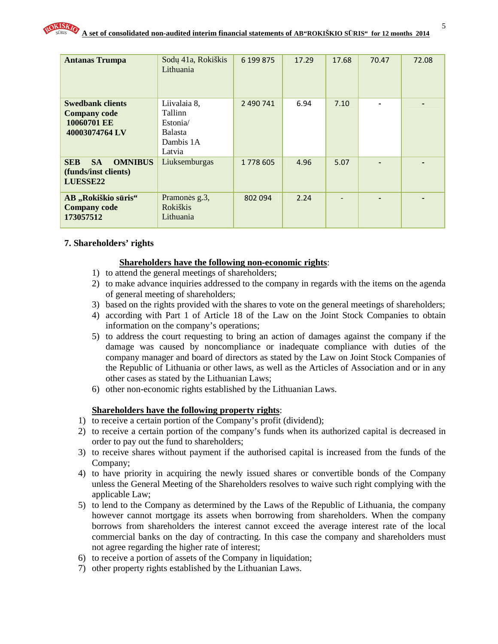| <b>Antanas Trumpa</b>                                                           | Sodų 41a, Rokiškis<br>Lithuania                                              | 6 199 875 | 17.29 | 17.68 | 70.47          | 72.08 |
|---------------------------------------------------------------------------------|------------------------------------------------------------------------------|-----------|-------|-------|----------------|-------|
| <b>Swedbank clients</b><br><b>Company code</b><br>10060701 EE<br>40003074764 LV | Liivalaia 8,<br>Tallinn<br>Estonia/<br><b>Balasta</b><br>Dambis 1A<br>Latvia | 2 490 741 | 6.94  | 7.10  |                |       |
| <b>SA</b><br><b>OMNIBUS</b><br><b>SEB</b><br>(funds/inst clients)<br>LUESSE22   | Liuksemburgas                                                                | 1778 605  | 4.96  | 5.07  | $\blacksquare$ |       |
| AB "Rokiškio sūris"<br><b>Company code</b><br>173057512                         | Pramonės g.3,<br><b>Rokiškis</b><br>Lithuania                                | 802 094   | 2.24  |       |                |       |

### **7. Shareholders' rights**

### **Shareholders have the following non-economic rights**:

- 1) to attend the general meetings of shareholders;
- 2) to make advance inquiries addressed to the company in regards with the items on the agenda of general meeting of shareholders;
- 3) based on the rights provided with the shares to vote on the general meetings of shareholders;
- 4) according with Part 1 of Article 18 of the Law on the Joint Stock Companies to obtain information on the company's operations;
- 5) to address the court requesting to bring an action of damages against the company if the damage was caused by noncompliance or inadequate compliance with duties of the company manager and board of directors as stated by the Law on Joint Stock Companies of the Republic of Lithuania or other laws, as well as the Articles of Association and or in any other cases as stated by the Lithuanian Laws;
- 6) other non-economic rights established by the Lithuanian Laws.

### **Shareholders have the following property rights**:

- 1) to receive a certain portion of the Company's profit (dividend);
- 2) to receive a certain portion of the company's funds when its authorized capital is decreased in order to pay out the fund to shareholders;
- 3) to receive shares without payment if the authorised capital is increased from the funds of the Company;
- 4) to have priority in acquiring the newly issued shares or convertible bonds of the Company unless the General Meeting of the Shareholders resolves to waive such right complying with the applicable Law;
- 5) to lend to the Company as determined by the Laws of the Republic of Lithuania, the company however cannot mortgage its assets when borrowing from shareholders. When the company borrows from shareholders the interest cannot exceed the average interest rate of the local commercial banks on the day of contracting. In this case the company and shareholders must not agree regarding the higher rate of interest;
- 6) to receive a portion of assets of the Company in liquidation;
- 7) other property rights established by the Lithuanian Laws.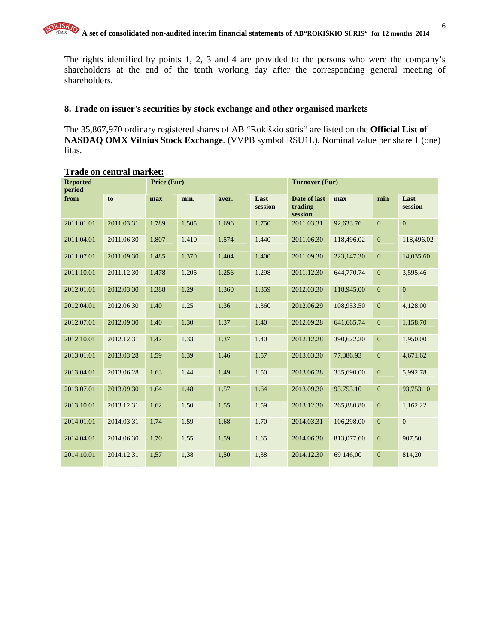The rights identified by points 1, 2, 3 and 4 are provided to the persons who were the company's shareholders at the end of the tenth working day after the corresponding general meeting of shareholders.

### **8. Trade on issuer's securities by stock exchange and other organised markets**

The 35,867,970 ordinary registered shares of AB "Rokiškio sūris" are listed on the **Official List of NASDAQ OMX Vilnius Stock Exchange**. (VVPB symbol RSU1L). Nominal value per share 1 (one) litas.

| <b>Reported</b><br>period |            | Price (Eur) |       |       |                 | <b>Turnover (Eur)</b>              |            |                  |                 |
|---------------------------|------------|-------------|-------|-------|-----------------|------------------------------------|------------|------------------|-----------------|
| from                      | to         | max         | min.  | aver. | Last<br>session | Date of last<br>trading<br>session | max        | min              | Last<br>session |
| 2011.01.01                | 2011.03.31 | 1.789       | 1.505 | 1.696 | 1.750           | 2011.03.31                         | 92,633.76  | $\overline{0}$   | $\mathbf{0}$    |
| 2011.04.01                | 2011.06.30 | 1.807       | 1.410 | 1.574 | 1.440           | 2011.06.30                         | 118,496.02 | $\mathbf{0}$     | 118,496.02      |
| 2011.07.01                | 2011.09.30 | 1.485       | 1.370 | 1.404 | 1.400           | 2011.09.30                         | 223,147.30 | $\mathbf{0}$     | 14,035.60       |
| 2011.10.01                | 2011.12.30 | 1.478       | 1.205 | 1.256 | 1.298           | 2011.12.30                         | 644,770.74 | $\overline{0}$   | 3,595.46        |
| 2012.01.01                | 2012.03.30 | 1.388       | 1.29  | 1.360 | 1.359           | 2012.03.30                         | 118,945.00 | $\boldsymbol{0}$ | $\overline{0}$  |
| 2012.04.01                | 2012.06.30 | 1.40        | 1.25  | 1.36  | 1.360           | 2012.06.29                         | 108,953.50 | $\mathbf{0}$     | 4,128.00        |
| 2012.07.01                | 2012.09.30 | 1.40        | 1.30  | 1.37  | 1.40            | 2012.09.28                         | 641,665.74 | $\boldsymbol{0}$ | 1,158.70        |
| 2012.10.01                | 2012.12.31 | 1.47        | 1.33  | 1.37  | 1.40            | 2012.12.28                         | 390,622.20 | $\mathbf{0}$     | 1,950.00        |
| 2013.01.01                | 2013.03.28 | 1.59        | 1.39  | 1.46  | 1.57            | 2013.03.30                         | 77,386.93  | $\mathbf{0}$     | 4,671.62        |
| 2013.04.01                | 2013.06.28 | 1.63        | 1.44  | 1.49  | 1.50            | 2013.06.28                         | 335,690.00 | $\overline{0}$   | 5,992.78        |
| 2013.07.01                | 2013.09.30 | 1.64        | 1.48  | 1.57  | 1.64            | 2013.09.30                         | 93,753.10  | $\mathbf{0}$     | 93,753.10       |
| 2013.10.01                | 2013.12.31 | 1.62        | 1.50  | 1.55  | 1.59            | 2013.12.30                         | 265,880.80 | $\overline{0}$   | 1,162.22        |
| 2014.01.01                | 2014.03.31 | 1.74        | 1.59  | 1.68  | 1.70            | 2014.03.31                         | 106,298.00 | $\mathbf{0}$     | $\mathbf{0}$    |
| 2014.04.01                | 2014.06.30 | 1.70        | 1.55  | 1.59  | 1.65            | 2014.06.30                         | 813,077.60 | $\mathbf{0}$     | 907.50          |
| 2014.10.01                | 2014.12.31 | 1,57        | 1,38  | 1,50  | 1,38            | 2014.12.30                         | 69 146,00  | $\mathbf{0}$     | 814,20          |

### **Trade on central market:**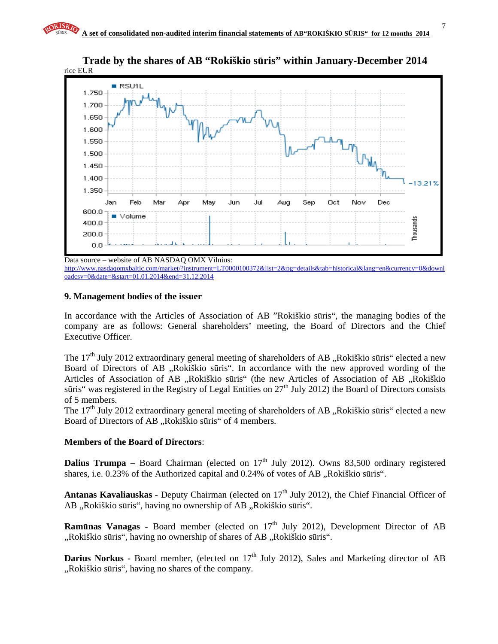

**Trade by the shares of AB "Rokiškio s**ū**ris" within January-December 2014** 

http://www.nasdaqomxbaltic.com/market/?instrument=LT0000100372&list=2&pg=details&tab=historical&lang=en&currency=0&downl oadcsv=0&date=&start=01.01.2014&end=31.12.2014

### **9. Management bodies of the issuer**

In accordance with the Articles of Association of AB "Rokiškio sūris", the managing bodies of the company are as follows: General shareholders' meeting, the Board of Directors and the Chief Executive Officer.

The  $17<sup>th</sup>$  July 2012 extraordinary general meeting of shareholders of AB , Rokiškio sūris" elected a new Board of Directors of AB "Rokiškio sūris". In accordance with the new approved wording of the Articles of Association of AB "Rokiškio sūris" (the new Articles of Association of AB "Rokiškio sūris" was registered in the Registry of Legal Entities on  $27<sup>th</sup>$  July 2012) the Board of Directors consists of 5 members.

The 17<sup>th</sup> July 2012 extraordinary general meeting of shareholders of AB "Rokiškio sūris" elected a new Board of Directors of AB "Rokiškio sūris" of 4 members.

### **Members of the Board of Directors**:

**Dalius Trumpa** – Board Chairman (elected on  $17<sup>th</sup>$  July 2012). Owns 83,500 ordinary registered shares, i.e. 0.23% of the Authorized capital and 0.24% of votes of AB "Rokiškio sūris".

**Antanas Kavaliauskas** - Deputy Chairman (elected on 17<sup>th</sup> July 2012), the Chief Financial Officer of AB "Rokiškio sūris", having no ownership of AB "Rokiškio sūris".

**Ramūnas Vanagas -** Board member (elected on 17<sup>th</sup> July 2012), Development Director of AB ",Rokiškio sūris", having no ownership of shares of AB "Rokiškio sūris".

Darius Norkus - Board member, (elected on 17<sup>th</sup> July 2012), Sales and Marketing director of AB ..Rokiškio sūris", having no shares of the company.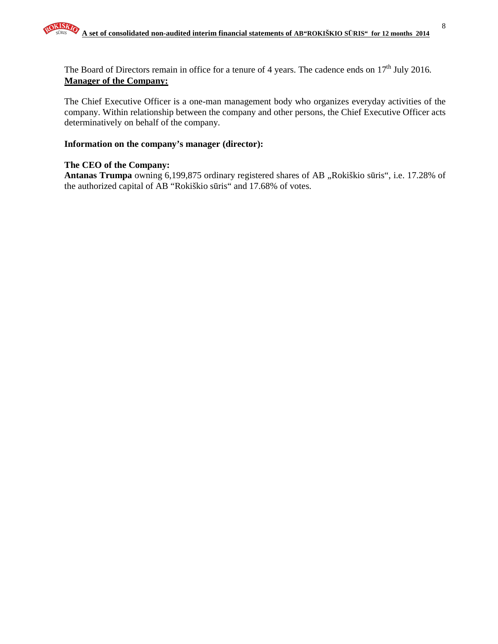The Board of Directors remain in office for a tenure of 4 years. The cadence ends on  $17<sup>th</sup>$  July 2016. **Manager of the Company:**

The Chief Executive Officer is a one-man management body who organizes everyday activities of the company. Within relationship between the company and other persons, the Chief Executive Officer acts determinatively on behalf of the company.

### **Information on the company's manager (director):**

### **The CEO of the Company:**

Antanas Trumpa owning 6,199,875 ordinary registered shares of AB "Rokiškio sūris", i.e. 17.28% of the authorized capital of AB "Rokiškio sūris" and 17.68% of votes.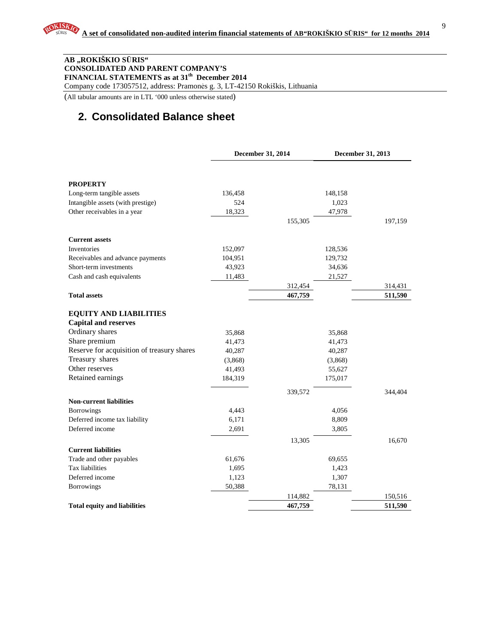#### **AB "ROKIŠKIO S**Ū**RIS" CONSOLIDATED AND PARENT COMPANY'S FINANCIAL STATEMENTS as at 31th December 2014**

Company code 173057512, address: Pramonės g. 3, LT-42150 Rokiškis, Lithuania

(All tabular amounts are in LTL '000 unless otherwise stated)

## **2. Consolidated Balance sheet**

|                                            | December 31, 2014 |         | December 31, 2013 |         |
|--------------------------------------------|-------------------|---------|-------------------|---------|
|                                            |                   |         |                   |         |
| <b>PROPERTY</b>                            |                   |         |                   |         |
| Long-term tangible assets                  | 136,458           |         | 148,158           |         |
| Intangible assets (with prestige)          | 524               |         | 1,023             |         |
| Other receivables in a year                | 18,323            |         | 47,978            |         |
|                                            |                   | 155,305 |                   | 197,159 |
| <b>Current assets</b>                      |                   |         |                   |         |
| Inventories                                | 152,097           |         | 128,536           |         |
| Receivables and advance payments           | 104,951           |         | 129,732           |         |
| Short-term investments                     | 43,923            |         | 34,636            |         |
| Cash and cash equivalents                  | 11,483            |         | 21,527            |         |
|                                            |                   | 312,454 |                   | 314,431 |
| <b>Total assets</b>                        |                   | 467,759 |                   | 511,590 |
| <b>EQUITY AND LIABILITIES</b>              |                   |         |                   |         |
| <b>Capital and reserves</b>                |                   |         |                   |         |
| Ordinary shares                            | 35,868            |         | 35,868            |         |
| Share premium                              | 41,473            |         | 41,473            |         |
| Reserve for acquisition of treasury shares | 40,287            |         | 40,287            |         |
| Treasury shares                            | (3,868)           |         | (3,868)           |         |
| Other reserves                             | 41,493            |         | 55,627            |         |
| Retained earnings                          | 184,319           |         | 175,017           |         |
|                                            |                   | 339,572 |                   | 344,404 |
| <b>Non-current liabilities</b>             |                   |         |                   |         |
| Borrowings                                 | 4,443             |         | 4,056             |         |
| Deferred income tax liability              | 6,171             |         | 8,809             |         |
| Deferred income                            | 2,691             |         | 3,805             |         |
|                                            |                   | 13,305  |                   | 16,670  |
| <b>Current liabilities</b>                 |                   |         |                   |         |
| Trade and other payables                   | 61,676            |         | 69,655            |         |
| Tax liabilities                            | 1,695             |         | 1,423             |         |
| Deferred income                            | 1,123             |         | 1,307             |         |
| <b>Borrowings</b>                          | 50,388            | 114,882 | 78,131            | 150,516 |
| <b>Total equity and liabilities</b>        |                   | 467,759 |                   | 511,590 |
|                                            |                   |         |                   |         |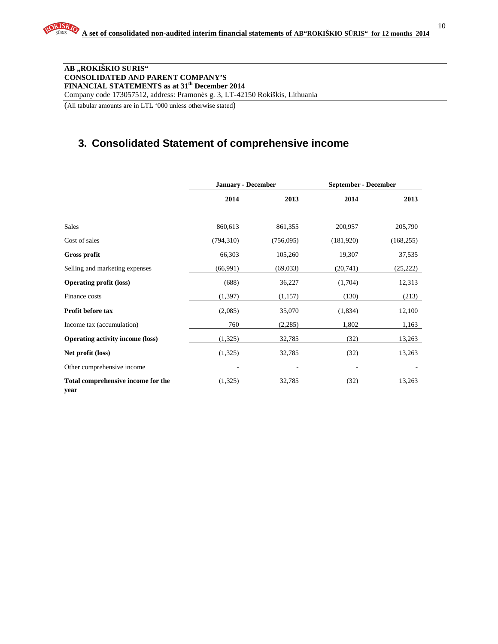10

#### **AB "ROKIŠKIO S**Ū**RIS" CONSOLIDATED AND PARENT COMPANY'S FINANCIAL STATEMENTS as at 31th December 2014**  Company code 173057512, address: Pramonės g. 3, LT-42150 Rokiškis, Lithuania

(All tabular amounts are in LTL '000 unless otherwise stated)

## **3. Consolidated Statement of comprehensive income**

|                                            | <b>January - December</b> |           | <b>September - December</b> |            |  |
|--------------------------------------------|---------------------------|-----------|-----------------------------|------------|--|
|                                            | 2014                      | 2013      | 2014                        | 2013       |  |
| <b>Sales</b>                               | 860,613                   | 861,355   | 200,957                     | 205,790    |  |
| Cost of sales                              | (794, 310)                | (756,095) | (181,920)                   | (168, 255) |  |
| Gross profit                               | 66,303                    | 105,260   | 19,307                      | 37,535     |  |
| Selling and marketing expenses             | (66,991)                  | (69,033)  | (20,741)                    | (25, 222)  |  |
| <b>Operating profit (loss)</b>             | (688)                     | 36,227    | (1,704)                     | 12,313     |  |
| Finance costs                              | (1, 397)                  | (1,157)   | (130)                       | (213)      |  |
| <b>Profit before tax</b>                   | (2,085)                   | 35,070    | (1,834)                     | 12,100     |  |
| Income tax (accumulation)                  | 760                       | (2,285)   | 1,802                       | 1,163      |  |
| <b>Operating activity income (loss)</b>    | (1,325)                   | 32,785    | (32)                        | 13,263     |  |
| Net profit (loss)                          | (1,325)                   | 32,785    | (32)                        | 13,263     |  |
| Other comprehensive income                 |                           |           |                             |            |  |
| Total comprehensive income for the<br>year | (1,325)                   | 32,785    | (32)                        | 13,263     |  |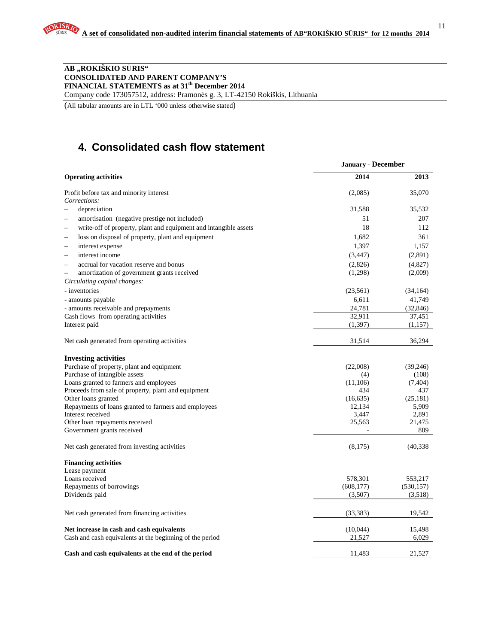### **AB "ROKIŠKIO S**Ū**RIS" CONSOLIDATED AND PARENT COMPANY'S FINANCIAL STATEMENTS as at 31th December 2014**

Company code 173057512, address: Pramonės g. 3, LT-42150 Rokiškis, Lithuania

(All tabular amounts are in LTL '000 unless otherwise stated)

# **4. Consolidated cash flow statement**

|                                                                        | <b>January - December</b> |            |
|------------------------------------------------------------------------|---------------------------|------------|
| <b>Operating activities</b>                                            | 2014                      | 2013       |
| Profit before tax and minority interest                                | (2,085)                   | 35,070     |
| Corrections:                                                           |                           |            |
| depreciation                                                           | 31,588                    | 35,532     |
| amortisation (negative prestige not included)                          | 51                        | 207        |
| write-off of property, plant and equipment and intangible assets       | 18                        | 112        |
| loss on disposal of property, plant and equipment                      | 1,682                     | 361        |
| interest expense<br>$\overline{\phantom{a}}$                           | 1,397                     | 1,157      |
| interest income<br>÷                                                   | (3, 447)                  | (2,891)    |
| accrual for vacation reserve and bonus<br>$\overline{\phantom{a}}$     | (2,826)                   | (4,827)    |
| amortization of government grants received<br>$\overline{\phantom{0}}$ | (1,298)                   | (2,009)    |
| Circulating capital changes:                                           |                           |            |
| - inventories                                                          | (23, 561)                 | (34, 164)  |
| - amounts payable                                                      | 6,611                     | 41,749     |
| - amounts receivable and prepayments                                   | 24,781                    | (32, 846)  |
| Cash flows from operating activities                                   | 32,911                    | 37,451     |
| Interest paid                                                          | (1, 397)                  | (1,157)    |
|                                                                        |                           |            |
| Net cash generated from operating activities                           | 31,514                    | 36,294     |
| <b>Investing activities</b>                                            |                           |            |
| Purchase of property, plant and equipment                              | (22,008)                  | (39,246)   |
| Purchase of intangible assets                                          | (4)                       | (108)      |
| Loans granted to farmers and employees                                 | (11,106)                  | (7, 404)   |
| Proceeds from sale of property, plant and equipment                    | 434                       | 437        |
| Other loans granted                                                    | (16, 635)                 | (25, 181)  |
| Repayments of loans granted to farmers and employees                   | 12,134                    | 5,909      |
| Interest received                                                      | 3,447                     | 2,891      |
| Other loan repayments received                                         | 25,563                    | 21,475     |
| Government grants received                                             |                           | 889        |
| Net cash generated from investing activities                           | (8,175)                   | (40, 338)  |
| <b>Financing activities</b>                                            |                           |            |
| Lease payment                                                          |                           |            |
| Loans received                                                         | 578,301                   | 553,217    |
| Repayments of borrowings                                               | (608, 177)                | (530, 157) |
| Dividends paid                                                         | (3,507)                   | (3,518)    |
| Net cash generated from financing activities                           | (33, 383)                 | 19,542     |
| Net increase in cash and cash equivalents                              | (10,044)                  | 15,498     |
| Cash and cash equivalents at the beginning of the period               | 21,527                    | 6,029      |
|                                                                        |                           |            |
| Cash and cash equivalents at the end of the period                     | 11.483                    | 21,527     |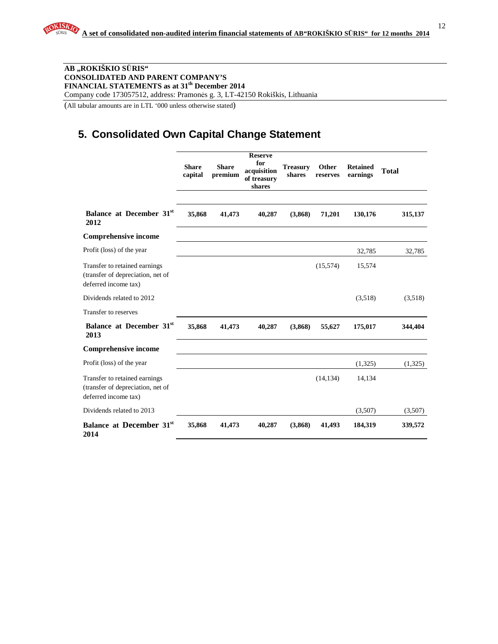12

#### **AB "ROKIŠKIO S**Ū**RIS" CONSOLIDATED AND PARENT COMPANY'S FINANCIAL STATEMENTS as at 31th December 2014**  Company code 173057512, address: Pramonės g. 3, LT-42150 Rokiškis, Lithuania

(All tabular amounts are in LTL '000 unless otherwise stated)

# **5. Consolidated Own Capital Change Statement**

|                                                                                            | <b>Share</b><br>capital | <b>Share</b><br>premium | <b>Reserve</b><br>for<br>acquisition<br>of treasury<br>shares | <b>Treasury</b><br>shares | Other<br>reserves | <b>Retained</b><br>earnings | <b>Total</b> |
|--------------------------------------------------------------------------------------------|-------------------------|-------------------------|---------------------------------------------------------------|---------------------------|-------------------|-----------------------------|--------------|
| Balance at December 31 <sup>st</sup><br>2012                                               | 35,868                  | 41,473                  | 40,287                                                        | (3,868)                   | 71,201            | 130,176                     | 315,137      |
| <b>Comprehensive income</b>                                                                |                         |                         |                                                               |                           |                   |                             |              |
| Profit (loss) of the year                                                                  |                         |                         |                                                               |                           |                   | 32,785                      | 32,785       |
| Transfer to retained earnings<br>(transfer of depreciation, net of<br>deferred income tax) |                         |                         |                                                               |                           | (15,574)          | 15,574                      |              |
| Dividends related to 2012                                                                  |                         |                         |                                                               |                           |                   | (3,518)                     | (3,518)      |
| Transfer to reserves                                                                       |                         |                         |                                                               |                           |                   |                             |              |
| Balance at December 31st<br>2013                                                           | 35,868                  | 41,473                  | 40,287                                                        | (3,868)                   | 55,627            | 175,017                     | 344,404      |
| <b>Comprehensive income</b>                                                                |                         |                         |                                                               |                           |                   |                             |              |
| Profit (loss) of the year                                                                  |                         |                         |                                                               |                           |                   | (1,325)                     | (1,325)      |
| Transfer to retained earnings<br>(transfer of depreciation, net of<br>deferred income tax) |                         |                         |                                                               |                           | (14, 134)         | 14,134                      |              |
| Dividends related to 2013                                                                  |                         |                         |                                                               |                           |                   | (3,507)                     | (3,507)      |
| Balance at December 31 <sup>st</sup><br>2014                                               | 35,868                  | 41,473                  | 40,287                                                        | (3,868)                   | 41,493            | 184,319                     | 339,572      |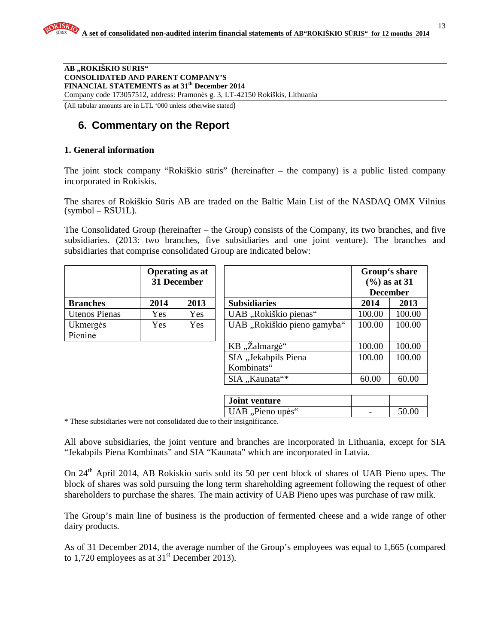**AB "ROKIŠKIO S**Ū**RIS" CONSOLIDATED AND PARENT COMPANY'S FINANCIAL STATEMENTS as at 31th December 2014**  Company code 173057512, address: Pramonės g. 3, LT-42150 Rokiškis, Lithuania (All tabular amounts are in LTL '000 unless otherwise stated)

### **6. Commentary on the Report**

### **1. General information**

The joint stock company "Rokiškio sūris" (hereinafter – the company) is a public listed company incorporated in Rokiskis.

The shares of Rokiškio Sūris AB are traded on the Baltic Main List of the NASDAQ OMX Vilnius (symbol – RSU1L).

The Consolidated Group (hereinafter – the Group) consists of the Company, its two branches, and five subsidiaries. (2013: two branches, five subsidiaries and one joint venture). The branches and subsidiaries that comprise consolidated Group are indicated below:

|                      |            | <b>Operating as at</b><br><b>31 December</b> |                             |        | Group's share<br>$(\frac{6}{6})$ as at 31<br><b>December</b> |
|----------------------|------------|----------------------------------------------|-----------------------------|--------|--------------------------------------------------------------|
| <b>Branches</b>      | 2014       | 2013                                         | <b>Subsidiaries</b>         | 2014   | 2013                                                         |
| <b>Utenos Pienas</b> | Yes        | Yes                                          | UAB "Rokiškio pienas"       | 100.00 | 100.00                                                       |
| Ukmergės<br>Pieninė  | <b>Yes</b> | Yes                                          | UAB "Rokiškio pieno gamyba" | 100.00 | 100.00                                                       |
|                      |            |                                              | KB, Zalmargė"               | 100.00 | 100.00                                                       |
|                      |            |                                              | SIA "Jekabpils Piena        | 100.00 | 100.00                                                       |
|                      |            |                                              | Kombinats"                  |        |                                                              |
|                      |            |                                              | SIA "Kaunata"*              | 60.00  | 60.00                                                        |
|                      |            |                                              |                             |        |                                                              |
|                      |            |                                              | <b>Joint venture</b>        |        |                                                              |
|                      |            |                                              | UAB "Pieno upės"            |        | 50.00                                                        |

\* These subsidiaries were not consolidated due to their insignificance.

All above subsidiaries, the joint venture and branches are incorporated in Lithuania, except for SIA "Jekabpils Piena Kombinats" and SIA "Kaunata" which are incorporated in Latvia.

On 24th April 2014, AB Rokiskio suris sold its 50 per cent block of shares of UAB Pieno upes. The block of shares was sold pursuing the long term shareholding agreement following the request of other shareholders to purchase the shares. The main activity of UAB Pieno upes was purchase of raw milk.

The Group's main line of business is the production of fermented cheese and a wide range of other dairy products.

As of 31 December 2014, the average number of the Group's employees was equal to 1,665 (compared to 1,720 employees as at  $31<sup>st</sup>$  December 2013).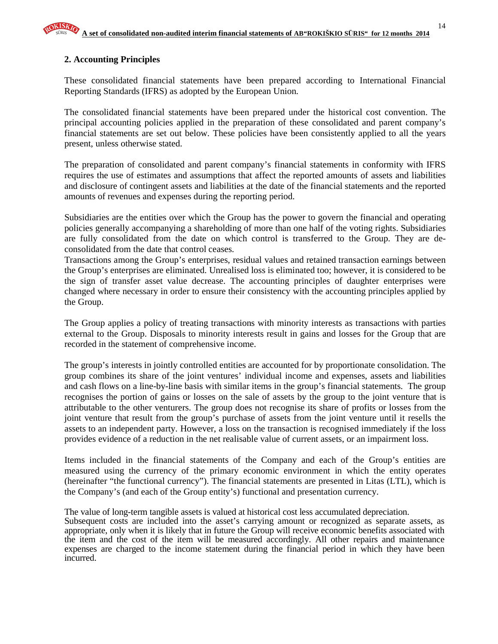### **2. Accounting Principles**

These consolidated financial statements have been prepared according to International Financial Reporting Standards (IFRS) as adopted by the European Union.

The consolidated financial statements have been prepared under the historical cost convention. The principal accounting policies applied in the preparation of these consolidated and parent company's financial statements are set out below. These policies have been consistently applied to all the years present, unless otherwise stated.

The preparation of consolidated and parent company's financial statements in conformity with IFRS requires the use of estimates and assumptions that affect the reported amounts of assets and liabilities and disclosure of contingent assets and liabilities at the date of the financial statements and the reported amounts of revenues and expenses during the reporting period.

Subsidiaries are the entities over which the Group has the power to govern the financial and operating policies generally accompanying a shareholding of more than one half of the voting rights. Subsidiaries are fully consolidated from the date on which control is transferred to the Group. They are deconsolidated from the date that control ceases.

Transactions among the Group's enterprises, residual values and retained transaction earnings between the Group's enterprises are eliminated. Unrealised loss is eliminated too; however, it is considered to be the sign of transfer asset value decrease. The accounting principles of daughter enterprises were changed where necessary in order to ensure their consistency with the accounting principles applied by the Group.

The Group applies a policy of treating transactions with minority interests as transactions with parties external to the Group. Disposals to minority interests result in gains and losses for the Group that are recorded in the statement of comprehensive income.

The group's interests in jointly controlled entities are accounted for by proportionate consolidation. The group combines its share of the joint ventures' individual income and expenses, assets and liabilities and cash flows on a line-by-line basis with similar items in the group's financial statements. The group recognises the portion of gains or losses on the sale of assets by the group to the joint venture that is attributable to the other venturers. The group does not recognise its share of profits or losses from the joint venture that result from the group's purchase of assets from the joint venture until it resells the assets to an independent party. However, a loss on the transaction is recognised immediately if the loss provides evidence of a reduction in the net realisable value of current assets, or an impairment loss.

Items included in the financial statements of the Company and each of the Group's entities are measured using the currency of the primary economic environment in which the entity operates (hereinafter "the functional currency"). The financial statements are presented in Litas (LTL), which is the Company's (and each of the Group entity's) functional and presentation currency.

The value of long-term tangible assets is valued at historical cost less accumulated depreciation.

Subsequent costs are included into the asset's carrying amount or recognized as separate assets, as appropriate, only when it is likely that in future the Group will receive economic benefits associated with the item and the cost of the item will be measured accordingly. All other repairs and maintenance expenses are charged to the income statement during the financial period in which they have been incurred.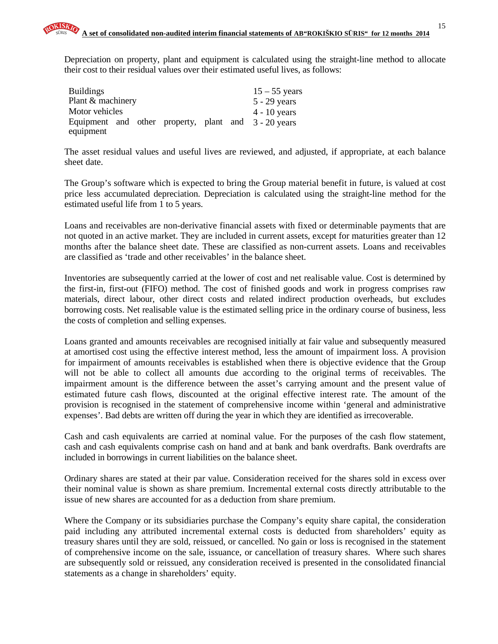Depreciation on property, plant and equipment is calculated using the straight-line method to allocate their cost to their residual values over their estimated useful lives, as follows:

| <b>Buildings</b>  |  |  | $15 - 55$ years                                      |
|-------------------|--|--|------------------------------------------------------|
| Plant & machinery |  |  | $5 - 29$ years                                       |
| Motor vehicles    |  |  | $4 - 10$ years                                       |
|                   |  |  | Equipment and other property, plant and 3 - 20 years |
| equipment         |  |  |                                                      |

The asset residual values and useful lives are reviewed, and adjusted, if appropriate, at each balance sheet date.

The Group's software which is expected to bring the Group material benefit in future, is valued at cost price less accumulated depreciation. Depreciation is calculated using the straight-line method for the estimated useful life from 1 to 5 years.

Loans and receivables are non-derivative financial assets with fixed or determinable payments that are not quoted in an active market. They are included in current assets, except for maturities greater than 12 months after the balance sheet date. These are classified as non-current assets. Loans and receivables are classified as 'trade and other receivables' in the balance sheet.

Inventories are subsequently carried at the lower of cost and net realisable value. Cost is determined by the first-in, first-out (FIFO) method. The cost of finished goods and work in progress comprises raw materials, direct labour, other direct costs and related indirect production overheads, but excludes borrowing costs. Net realisable value is the estimated selling price in the ordinary course of business, less the costs of completion and selling expenses.

Loans granted and amounts receivables are recognised initially at fair value and subsequently measured at amortised cost using the effective interest method, less the amount of impairment loss. A provision for impairment of amounts receivables is established when there is objective evidence that the Group will not be able to collect all amounts due according to the original terms of receivables. The impairment amount is the difference between the asset's carrying amount and the present value of estimated future cash flows, discounted at the original effective interest rate. The amount of the provision is recognised in the statement of comprehensive income within 'general and administrative expenses'. Bad debts are written off during the year in which they are identified as irrecoverable.

Cash and cash equivalents are carried at nominal value. For the purposes of the cash flow statement, cash and cash equivalents comprise cash on hand and at bank and bank overdrafts. Bank overdrafts are included in borrowings in current liabilities on the balance sheet.

Ordinary shares are stated at their par value. Consideration received for the shares sold in excess over their nominal value is shown as share premium. Incremental external costs directly attributable to the issue of new shares are accounted for as a deduction from share premium.

Where the Company or its subsidiaries purchase the Company's equity share capital, the consideration paid including any attributed incremental external costs is deducted from shareholders' equity as treasury shares until they are sold, reissued, or cancelled. No gain or loss is recognised in the statement of comprehensive income on the sale, issuance, or cancellation of treasury shares. Where such shares are subsequently sold or reissued, any consideration received is presented in the consolidated financial statements as a change in shareholders' equity.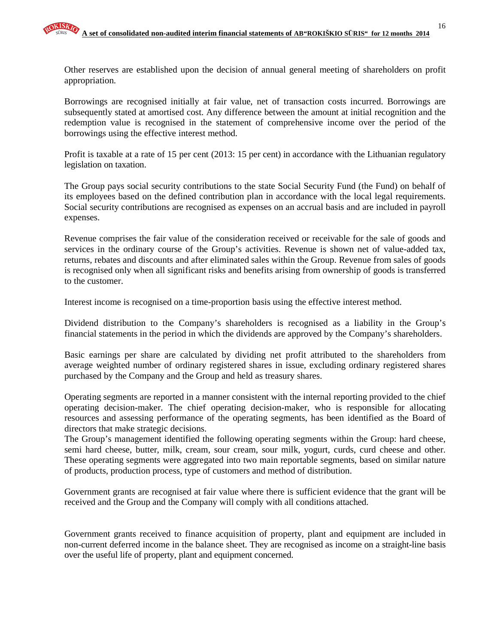Other reserves are established upon the decision of annual general meeting of shareholders on profit appropriation.

Borrowings are recognised initially at fair value, net of transaction costs incurred. Borrowings are subsequently stated at amortised cost. Any difference between the amount at initial recognition and the redemption value is recognised in the statement of comprehensive income over the period of the borrowings using the effective interest method.

Profit is taxable at a rate of 15 per cent (2013: 15 per cent) in accordance with the Lithuanian regulatory legislation on taxation.

The Group pays social security contributions to the state Social Security Fund (the Fund) on behalf of its employees based on the defined contribution plan in accordance with the local legal requirements. Social security contributions are recognised as expenses on an accrual basis and are included in payroll expenses.

Revenue comprises the fair value of the consideration received or receivable for the sale of goods and services in the ordinary course of the Group's activities. Revenue is shown net of value-added tax, returns, rebates and discounts and after eliminated sales within the Group. Revenue from sales of goods is recognised only when all significant risks and benefits arising from ownership of goods is transferred to the customer.

Interest income is recognised on a time-proportion basis using the effective interest method.

Dividend distribution to the Company's shareholders is recognised as a liability in the Group's financial statements in the period in which the dividends are approved by the Company's shareholders.

Basic earnings per share are calculated by dividing net profit attributed to the shareholders from average weighted number of ordinary registered shares in issue, excluding ordinary registered shares purchased by the Company and the Group and held as treasury shares.

Operating segments are reported in a manner consistent with the internal reporting provided to the chief operating decision-maker. The chief operating decision-maker, who is responsible for allocating resources and assessing performance of the operating segments, has been identified as the Board of directors that make strategic decisions.

The Group's management identified the following operating segments within the Group: hard cheese, semi hard cheese, butter, milk, cream, sour cream, sour milk, yogurt, curds, curd cheese and other. These operating segments were aggregated into two main reportable segments, based on similar nature of products, production process, type of customers and method of distribution.

Government grants are recognised at fair value where there is sufficient evidence that the grant will be received and the Group and the Company will comply with all conditions attached.

Government grants received to finance acquisition of property, plant and equipment are included in non-current deferred income in the balance sheet. They are recognised as income on a straight-line basis over the useful life of property, plant and equipment concerned.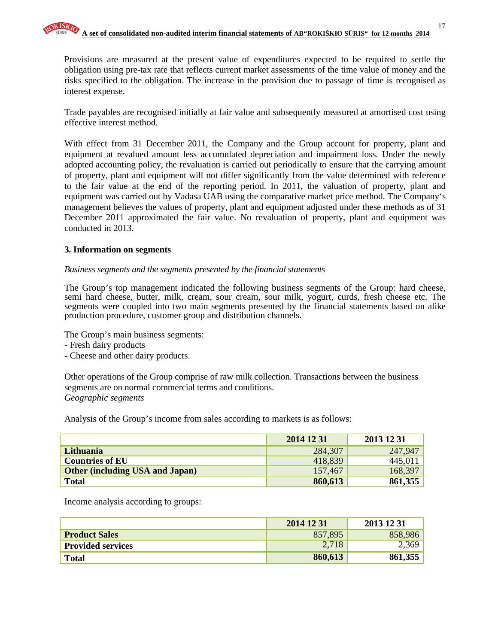Provisions are measured at the present value of expenditures expected to be required to settle the obligation using pre-tax rate that reflects current market assessments of the time value of money and the risks specified to the obligation. The increase in the provision due to passage of time is recognised as interest expense.

Trade payables are recognised initially at fair value and subsequently measured at amortised cost using effective interest method.

With effect from 31 December 2011, the Company and the Group account for property, plant and equipment at revalued amount less accumulated depreciation and impairment loss. Under the newly adopted accounting policy, the revaluation is carried out periodically to ensure that the carrying amount of property, plant and equipment will not differ significantly from the value determined with reference to the fair value at the end of the reporting period. In 2011, the valuation of property, plant and equipment was carried out by Vadasa UAB using the comparative market price method. The Company's management believes the values of property, plant and equipment adjusted under these methods as of 31 December 2011 approximated the fair value. No revaluation of property, plant and equipment was conducted in 2013.

### **3. Information on segments**

### *Business segments and the segments presented by the financial statements*

The Group's top management indicated the following business segments of the Group: hard cheese, semi hard cheese, butter, milk, cream, sour cream, sour milk, yogurt, curds, fresh cheese etc. The segments were coupled into two main segments presented by the financial statements based on alike production procedure, customer group and distribution channels.

The Group's main business segments:

- Fresh dairy products

- Cheese and other dairy products.

Other operations of the Group comprise of raw milk collection. Transactions between the business segments are on normal commercial terms and conditions. *Geographic segments* 

Analysis of the Group's income from sales according to markets is as follows:

|                                        | 2014 12 31 | 2013 12 31 |
|----------------------------------------|------------|------------|
| Lithuania                              | 284,307    | 247,947    |
| <b>Countries of EU</b>                 | 418,839    | 445,011    |
| <b>Other (including USA and Japan)</b> | 157,467    | 168,397    |
| <b>Total</b>                           | 860,613    | 861,355    |

Income analysis according to groups:

|                          | 2014 12 31 | 2013 12 31 |
|--------------------------|------------|------------|
| <b>Product Sales</b>     | 857,895    | 858,986    |
| <b>Provided services</b> | 2,718      | 2,369      |
| <b>Total</b>             | 860,613    | 861,355    |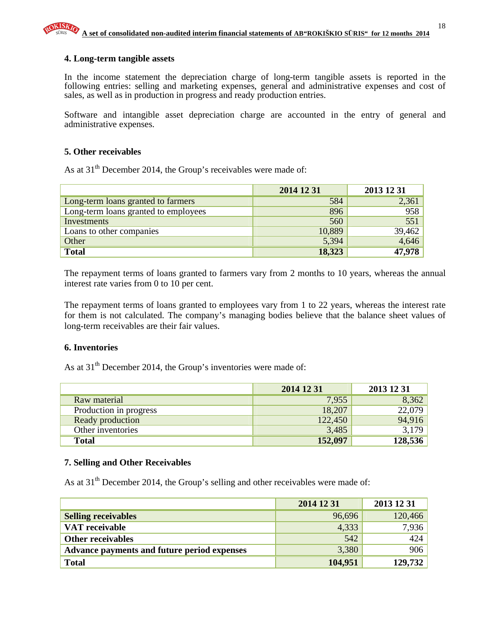### **4. Long-term tangible assets**

In the income statement the depreciation charge of long-term tangible assets is reported in the following entries: selling and marketing expenses, general and administrative expenses and cost of sales, as well as in production in progress and ready production entries.

Software and intangible asset depreciation charge are accounted in the entry of general and administrative expenses.

### **5. Other receivables**

As at 31<sup>th</sup> December 2014, the Group's receivables were made of:

|                                      | 2014 12 31 | 2013 12 31 |
|--------------------------------------|------------|------------|
| Long-term loans granted to farmers   | 584        | 2,361      |
| Long-term loans granted to employees | 896        | 958        |
| Investments                          | 560        | 551        |
| Loans to other companies             | 10,889     | 39,462     |
| Other                                | 5,394      | 4,646      |
| <b>Total</b>                         | 18,323     | 47,978     |

The repayment terms of loans granted to farmers vary from 2 months to 10 years, whereas the annual interest rate varies from 0 to 10 per cent.

The repayment terms of loans granted to employees vary from 1 to 22 years, whereas the interest rate for them is not calculated. The company's managing bodies believe that the balance sheet values of long-term receivables are their fair values.

#### **6. Inventories**

As at 31<sup>th</sup> December 2014, the Group's inventories were made of:

|                        | 2014 12 31 | 2013 12 31 |
|------------------------|------------|------------|
| Raw material           | 7,955      | 8,362      |
| Production in progress | 18,207     | 22,079     |
| Ready production       | 122,450    | 94,916     |
| Other inventories      | 3,485      | 3,179      |
| <b>Total</b>           | 152,097    | 128,536    |

#### **7. Selling and Other Receivables**

As at 31<sup>th</sup> December 2014, the Group's selling and other receivables were made of:

|                                             | 2014 12 31 | 2013 12 31 |
|---------------------------------------------|------------|------------|
| <b>Selling receivables</b>                  | 96,696     | 120,466    |
| VAT receivable                              | 4,333      | 7,936      |
| <b>Other receivables</b>                    | 542        | 424        |
| Advance payments and future period expenses | 3,380      | 906        |
| <b>Total</b>                                | 104,951    | 129,732    |